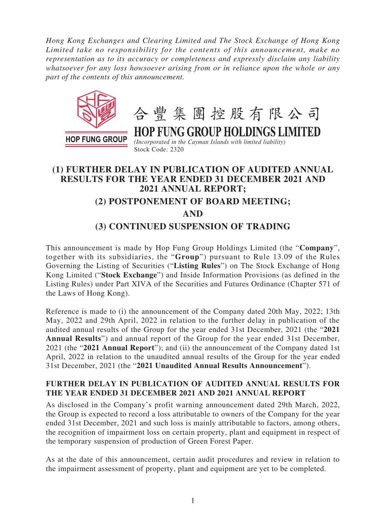*Hong Kong Exchanges and Clearing Limited and The Stock Exchange of Hong Kong Limited take no responsibility for the contents of this announcement, make no representation as to its accuracy or completeness and expressly disclaim any liability whatsoever for any loss howsoever arising from or in reliance upon the whole or any part of the contents of this announcement.*



## **(1) FURTHER DELAY IN PUBLICATION OF AUDITED ANNUAL RESULTS FOR THE YEAR ENDED 31 DECEMBER 2021 AND 2021 ANNUAL REPORT; (2) POSTPONEMENT OF BOARD MEETING; AND (3) CONTINUED SUSPENSION OF TRADING**

This announcement is made by Hop Fung Group Holdings Limited (the "**Company**", together with its subsidiaries, the "**Group**") pursuant to Rule 13.09 of the Rules Governing the Listing of Securities ("**Listing Rules**") on The Stock Exchange of Hong Kong Limited ("**Stock Exchange**") and Inside Information Provisions (as defined in the Listing Rules) under Part XIVA of the Securities and Futures Ordinance (Chapter 571 of the Laws of Hong Kong).

Reference is made to (i) the announcement of the Company dated 20th May, 2022; 13th May, 2022 and 29th April, 2022 in relation to the further delay in publication of the audited annual results of the Group for the year ended 31st December, 2021 (the "**2021 Annual Results**") and annual report of the Group for the year ended 31st December, 2021 (the "**2021 Annual Report**"); and (ii) the announcement of the Company dated 1st April, 2022 in relation to the unaudited annual results of the Group for the year ended 31st December, 2021 (the "**2021 Unaudited Annual Results Announcement**").

## **FURTHER DELAY IN PUBLICATION OF AUDITED ANNUAL RESULTS FOR THE YEAR ENDED 31 DECEMBER 2021 AND 2021 ANNUAL REPORT**

As disclosed in the Company's profit warning announcement dated 29th March, 2022, the Group is expected to record a loss attributable to owners of the Company for the year ended 31st December, 2021 and such loss is mainly attributable to factors, among others, the recognition of impairment loss on certain property, plant and equipment in respect of the temporary suspension of production of Green Forest Paper.

As at the date of this announcement, certain audit procedures and review in relation to the impairment assessment of property, plant and equipment are yet to be completed.